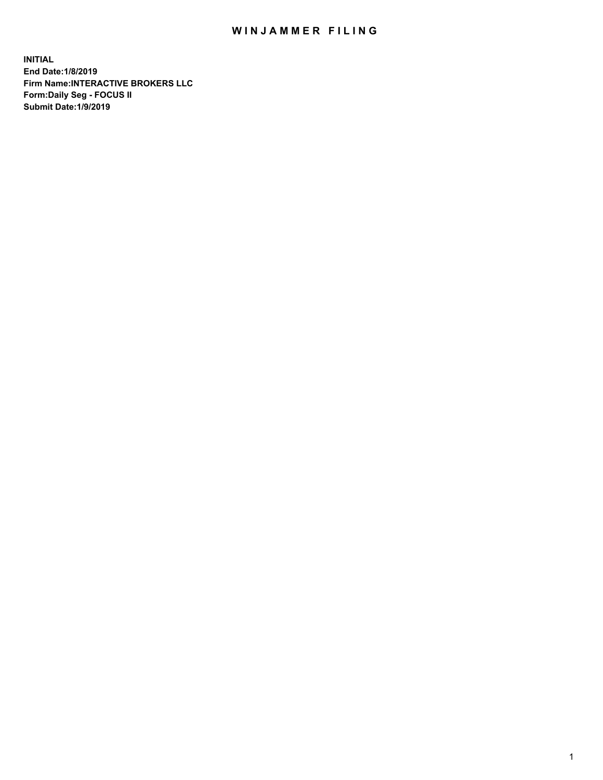## WIN JAMMER FILING

**INITIAL End Date:1/8/2019 Firm Name:INTERACTIVE BROKERS LLC Form:Daily Seg - FOCUS II Submit Date:1/9/2019**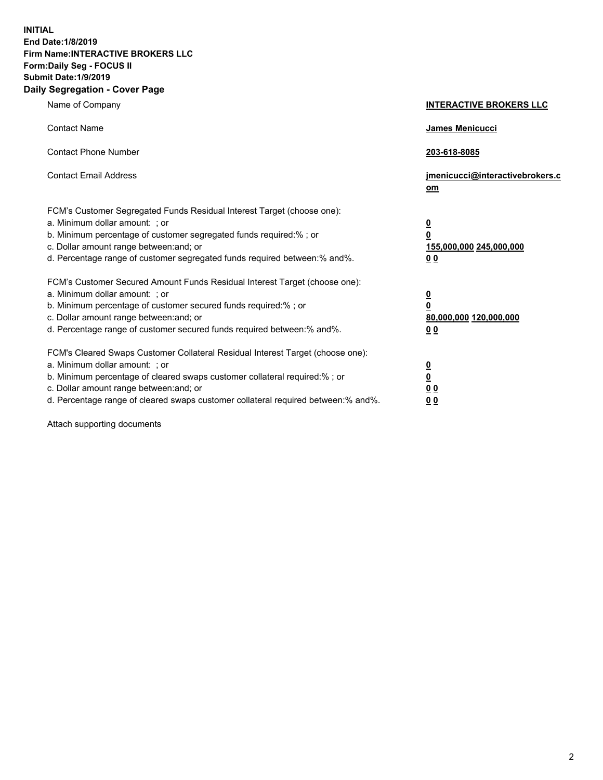**INITIAL End Date:1/8/2019 Firm Name:INTERACTIVE BROKERS LLC Form:Daily Seg - FOCUS II Submit Date:1/9/2019 Daily Segregation - Cover Page**

| Name of Company                                                                                                                                                                                                                                                                                                                | <b>INTERACTIVE BROKERS LLC</b>                                                      |
|--------------------------------------------------------------------------------------------------------------------------------------------------------------------------------------------------------------------------------------------------------------------------------------------------------------------------------|-------------------------------------------------------------------------------------|
| <b>Contact Name</b>                                                                                                                                                                                                                                                                                                            | James Menicucci                                                                     |
| <b>Contact Phone Number</b>                                                                                                                                                                                                                                                                                                    | 203-618-8085                                                                        |
| <b>Contact Email Address</b>                                                                                                                                                                                                                                                                                                   | jmenicucci@interactivebrokers.c<br>om                                               |
| FCM's Customer Segregated Funds Residual Interest Target (choose one):<br>a. Minimum dollar amount: ; or<br>b. Minimum percentage of customer segregated funds required:% ; or<br>c. Dollar amount range between: and; or<br>d. Percentage range of customer segregated funds required between:% and%.                         | $\overline{\mathbf{0}}$<br>$\overline{\mathbf{0}}$<br>155,000,000 245,000,000<br>00 |
| FCM's Customer Secured Amount Funds Residual Interest Target (choose one):<br>a. Minimum dollar amount: ; or<br>b. Minimum percentage of customer secured funds required:% ; or<br>c. Dollar amount range between: and; or<br>d. Percentage range of customer secured funds required between:% and%.                           | $\overline{\mathbf{0}}$<br>$\pmb{0}$<br>80,000,000 120,000,000<br>00                |
| FCM's Cleared Swaps Customer Collateral Residual Interest Target (choose one):<br>a. Minimum dollar amount: ; or<br>b. Minimum percentage of cleared swaps customer collateral required:% ; or<br>c. Dollar amount range between: and; or<br>d. Percentage range of cleared swaps customer collateral required between:% and%. | $\overline{\mathbf{0}}$<br>$\underline{\mathbf{0}}$<br>0 <sub>0</sub><br>00         |

Attach supporting documents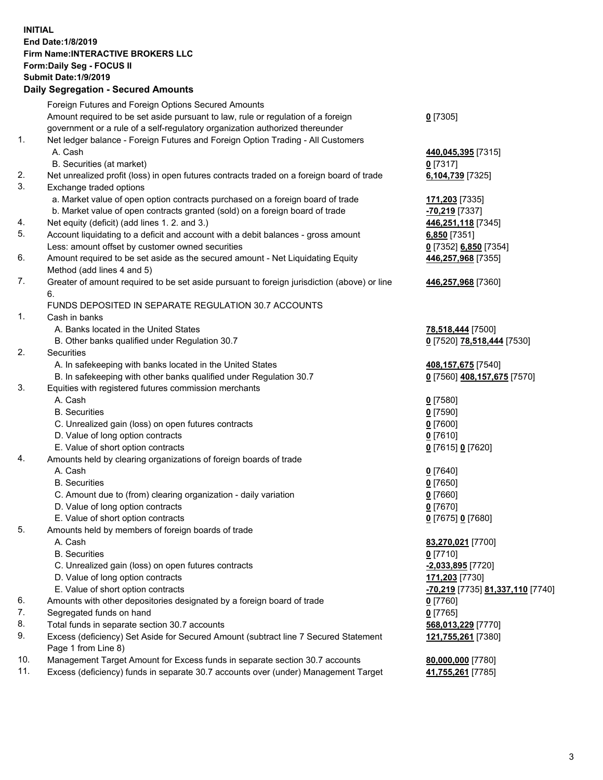## **INITIAL End Date:1/8/2019 Firm Name:INTERACTIVE BROKERS LLC Form:Daily Seg - FOCUS II Submit Date:1/9/2019 Daily Segregation - Secured Amounts**

|     | <u> Bany Obynogation – Oboaroa Ambants</u>                                                                 |                                                      |
|-----|------------------------------------------------------------------------------------------------------------|------------------------------------------------------|
|     | Foreign Futures and Foreign Options Secured Amounts                                                        |                                                      |
|     | Amount required to be set aside pursuant to law, rule or regulation of a foreign                           | $0$ [7305]                                           |
|     | government or a rule of a self-regulatory organization authorized thereunder                               |                                                      |
| 1.  | Net ledger balance - Foreign Futures and Foreign Option Trading - All Customers                            |                                                      |
|     | A. Cash                                                                                                    | 440,045,395 [7315]                                   |
|     | B. Securities (at market)                                                                                  | $0$ [7317]                                           |
| 2.  | Net unrealized profit (loss) in open futures contracts traded on a foreign board of trade                  | 6,104,739 [7325]                                     |
| 3.  | Exchange traded options                                                                                    |                                                      |
|     | a. Market value of open option contracts purchased on a foreign board of trade                             | 171,203 [7335]                                       |
|     | b. Market value of open contracts granted (sold) on a foreign board of trade                               | -70,219 [7337]                                       |
| 4.  | Net equity (deficit) (add lines 1. 2. and 3.)                                                              | 446,251,118 [7345]                                   |
| 5.  | Account liquidating to a deficit and account with a debit balances - gross amount                          | 6,850 [7351]                                         |
|     | Less: amount offset by customer owned securities                                                           | 0 [7352] 6,850 [7354]                                |
| 6.  | Amount required to be set aside as the secured amount - Net Liquidating Equity                             | 446,257,968 [7355]                                   |
|     | Method (add lines 4 and 5)                                                                                 |                                                      |
| 7.  | Greater of amount required to be set aside pursuant to foreign jurisdiction (above) or line<br>6.          | 446,257,968 [7360]                                   |
|     | FUNDS DEPOSITED IN SEPARATE REGULATION 30.7 ACCOUNTS                                                       |                                                      |
| 1.  | Cash in banks                                                                                              |                                                      |
|     | A. Banks located in the United States                                                                      | 78,518,444 [7500]                                    |
|     | B. Other banks qualified under Regulation 30.7                                                             | 0 [7520] 78,518,444 [7530]                           |
| 2.  | Securities                                                                                                 |                                                      |
|     | A. In safekeeping with banks located in the United States                                                  | 408,157,675 [7540]                                   |
|     | B. In safekeeping with other banks qualified under Regulation 30.7                                         | 0 [7560] 408,157,675 [7570]                          |
| 3.  | Equities with registered futures commission merchants                                                      |                                                      |
|     | A. Cash                                                                                                    | $0$ [7580]                                           |
|     | <b>B.</b> Securities                                                                                       | $0$ [7590]                                           |
|     | C. Unrealized gain (loss) on open futures contracts                                                        | $0$ [7600]                                           |
|     | D. Value of long option contracts                                                                          | $0$ [7610]                                           |
|     | E. Value of short option contracts                                                                         | 0 [7615] 0 [7620]                                    |
| 4.  | Amounts held by clearing organizations of foreign boards of trade                                          |                                                      |
|     | A. Cash                                                                                                    | $0$ [7640]                                           |
|     | <b>B.</b> Securities                                                                                       | $0$ [7650]                                           |
|     | C. Amount due to (from) clearing organization - daily variation                                            | $0$ [7660]                                           |
|     | D. Value of long option contracts                                                                          | $0$ [7670]                                           |
|     | E. Value of short option contracts                                                                         | 0 [7675] 0 [7680]                                    |
| 5.  | Amounts held by members of foreign boards of trade                                                         |                                                      |
|     | A. Cash                                                                                                    | 83,270,021 [7700]                                    |
|     | <b>B.</b> Securities                                                                                       | $0$ [7710]                                           |
|     | C. Unrealized gain (loss) on open futures contracts                                                        | -2,033,895 [7720]                                    |
|     | D. Value of long option contracts                                                                          | 171,203 [7730]                                       |
|     | E. Value of short option contracts                                                                         | <mark>-70,219</mark> [7735] <u>81,337,110</u> [7740] |
| 6.  | Amounts with other depositories designated by a foreign board of trade                                     | $0$ [7760]                                           |
| 7.  | Segregated funds on hand                                                                                   | $0$ [7765]                                           |
| 8.  | Total funds in separate section 30.7 accounts                                                              | 568,013,229 [7770]                                   |
| 9.  | Excess (deficiency) Set Aside for Secured Amount (subtract line 7 Secured Statement<br>Page 1 from Line 8) | 121,755,261 [7380]                                   |
| 10. | Management Target Amount for Excess funds in separate section 30.7 accounts                                | 80,000,000 [7780]                                    |
| 11. | Excess (deficiency) funds in separate 30.7 accounts over (under) Management Target                         | 41,755,261 [7785]                                    |
|     |                                                                                                            |                                                      |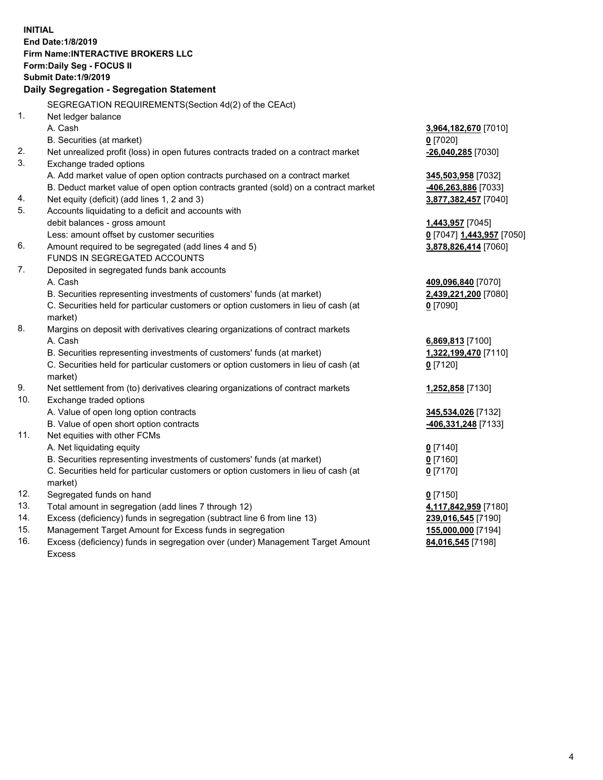|     | <b>INITIAL</b>                                                                      |                           |
|-----|-------------------------------------------------------------------------------------|---------------------------|
|     | End Date: 1/8/2019                                                                  |                           |
|     | <b>Firm Name:INTERACTIVE BROKERS LLC</b>                                            |                           |
|     | Form: Daily Seg - FOCUS II                                                          |                           |
|     | <b>Submit Date: 1/9/2019</b>                                                        |                           |
|     | Daily Segregation - Segregation Statement                                           |                           |
|     | SEGREGATION REQUIREMENTS (Section 4d(2) of the CEAct)                               |                           |
| 1.  | Net ledger balance                                                                  |                           |
|     | A. Cash                                                                             | 3,964,182,670 [7010]      |
|     | B. Securities (at market)                                                           | $0$ [7020]                |
| 2.  | Net unrealized profit (loss) in open futures contracts traded on a contract market  | -26,040,285 [7030]        |
| 3.  | Exchange traded options                                                             |                           |
|     | A. Add market value of open option contracts purchased on a contract market         | 345,503,958 [7032]        |
|     | B. Deduct market value of open option contracts granted (sold) on a contract market | 406,263,886 [7033]        |
| 4.  | Net equity (deficit) (add lines 1, 2 and 3)                                         | 3,877,382,457 [7040]      |
| 5.  | Accounts liquidating to a deficit and accounts with                                 |                           |
|     | debit balances - gross amount                                                       | 1,443,957 [7045]          |
|     | Less: amount offset by customer securities                                          | 0 [7047] 1,443,957 [7050] |
| 6.  | Amount required to be segregated (add lines 4 and 5)                                | 3,878,826,414 [7060]      |
|     | FUNDS IN SEGREGATED ACCOUNTS                                                        |                           |
| 7.  | Deposited in segregated funds bank accounts                                         |                           |
|     | A. Cash                                                                             | 409,096,840 [7070]        |
|     | B. Securities representing investments of customers' funds (at market)              | 2,439,221,200 [7080]      |
|     | C. Securities held for particular customers or option customers in lieu of cash (at | $0$ [7090]                |
|     | market)                                                                             |                           |
| 8.  | Margins on deposit with derivatives clearing organizations of contract markets      |                           |
|     | A. Cash                                                                             | 6,869,813 [7100]          |
|     | B. Securities representing investments of customers' funds (at market)              | 1,322,199,470 [7110]      |
|     | C. Securities held for particular customers or option customers in lieu of cash (at | $0$ [7120]                |
|     | market)                                                                             |                           |
| 9.  | Net settlement from (to) derivatives clearing organizations of contract markets     | 1,252,858 [7130]          |
| 10. | Exchange traded options                                                             |                           |
|     | A. Value of open long option contracts                                              | 345,534,026 [7132]        |
|     | B. Value of open short option contracts                                             | -406,331,248 [7133]       |
| 11. | Net equities with other FCMs                                                        |                           |
|     | A. Net liquidating equity                                                           | $0$ [7140]                |
|     | B. Securities representing investments of customers' funds (at market)              | $0$ [7160]                |
|     | C. Securities held for particular customers or option customers in lieu of cash (at | $0$ [7170]                |
|     | market)                                                                             |                           |
| 12. | Segregated funds on hand                                                            | $0$ [7150]                |
| 13. | Total amount in segregation (add lines 7 through 12)                                | 4,117,842,959 [7180]      |
| 14. | Excess (deficiency) funds in segregation (subtract line 6 from line 13)             | 239,016,545 [7190]        |
| 15. | Management Target Amount for Excess funds in segregation                            | 155,000,000 [7194]        |
|     |                                                                                     |                           |

16. Excess (deficiency) funds in segregation over (under) Management Target Amount Excess

**84,016,545** [7198]